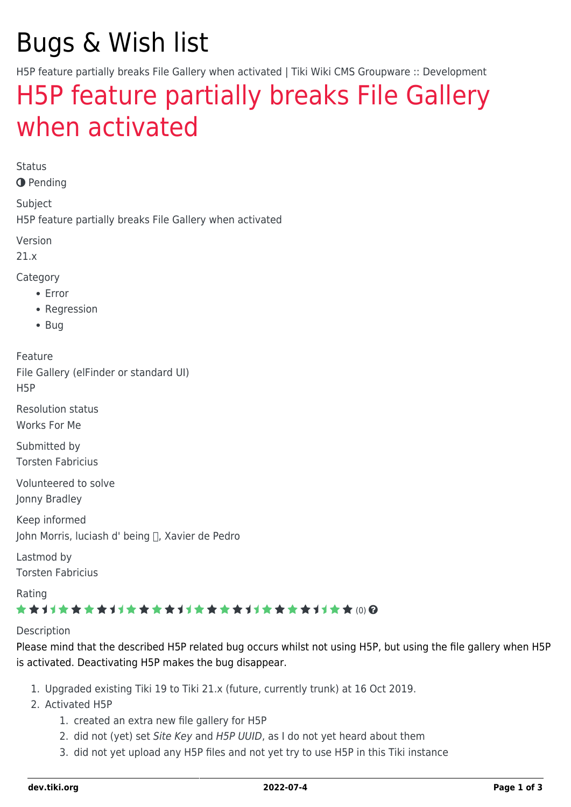# Bugs & Wish list

H5P feature partially breaks File Gallery when activated | Tiki Wiki CMS Groupware :: Development

# [H5P feature partially breaks File Gallery](https://dev.tiki.org/item7193-H5P-feature-partially-breaks-File-Gallery-when-activated) [when activated](https://dev.tiki.org/item7193-H5P-feature-partially-breaks-File-Gallery-when-activated)

Status

**O** Pending

Subject

H5P feature partially breaks File Gallery when activated

Version

21.x

Category

- Error
- Regression
- Bug

Feature File Gallery (elFinder or standard UI) H5P

Resolution status Works For Me

Submitted by Torsten Fabricius

Volunteered to solve Jonny Bradley

Keep informed John Morris, luciash d' being  $\Box$ , Xavier de Pedro

Lastmod by Torsten Fabricius

Rating

#### ★★オオ★★★★オオ★★★★★★★★★★★★★★★★★★★ (0) @

#### Description

Please mind that the described H5P related bug occurs whilst not using H5P, but using the file gallery when H5P is activated. Deactivating H5P makes the bug disappear.

- 1. Upgraded existing Tiki 19 to Tiki 21.x (future, currently trunk) at 16 Oct 2019.
- 2. Activated H5P
	- 1. created an extra new file gallery for H5P
	- 2. did not (yet) set Site Key and H5P UUID, as I do not yet heard about them
	- 3. did not yet upload any H5P files and not yet try to use H5P in this Tiki instance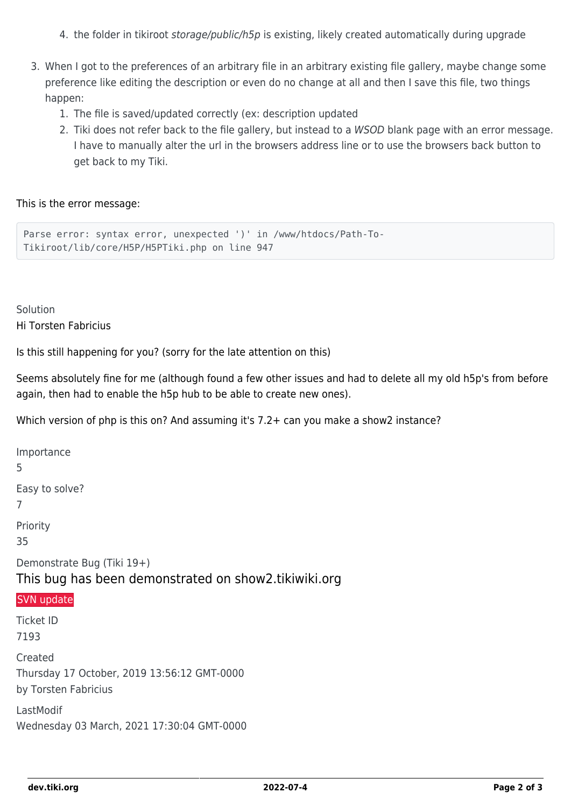- 4. the folder in tikiroot *storage/public/h5p* is existing, likely created automatically during upgrade
- 3. When I got to the preferences of an arbitrary file in an arbitrary existing file gallery, maybe change some preference like editing the description or even do no change at all and then I save this file, two things happen:
	- 1. The file is saved/updated correctly (ex: description updated
	- 2. Tiki does not refer back to the file gallery, but instead to a WSOD blank page with an error message. I have to manually alter the url in the browsers address line or to use the browsers back button to get back to my Tiki.

#### This is the error message:

```
Parse error: syntax error, unexpected ')' in /www/htdocs/Path-To-
Tikiroot/lib/core/H5P/H5PTiki.php on line 947
```
Solution Hi Torsten Fabricius

Is this still happening for you? (sorry for the late attention on this)

Seems absolutely fine for me (although found a few other issues and had to delete all my old h5p's from before again, then had to enable the h5p hub to be able to create new ones).

Which version of php is this on? And assuming it's 7.2+ can you make a show2 instance?

Importance 5 Easy to solve? 7 Priority 35 Demonstrate Bug (Tiki 19+)

This bug has been demonstrated on show2.tikiwiki.org

#### [SVN update](#page--1-0)

Ticket ID 7193 **Created** Thursday 17 October, 2019 13:56:12 GMT-0000 by Torsten Fabricius LastModif

Wednesday 03 March, 2021 17:30:04 GMT-0000